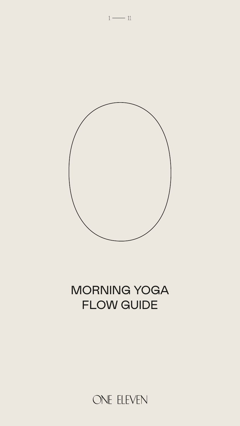



# MORNING YOGA FLOW GUIDE

ONE ELEVEN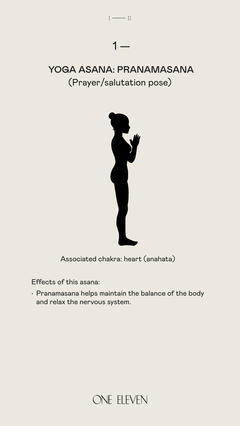

Associated chakra: heart (anahata)

Effects of this asana:

• Pranamasana helps maintain the balance of the body and relax the nervous system.



#### YOGA ASANA: PRANAMASANA (Prayer/salutation pose)



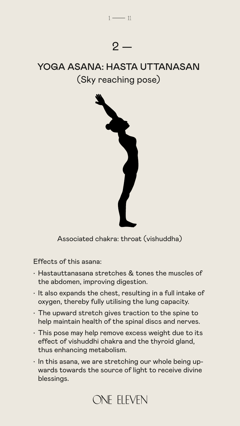

Associated chakra: throat (vishuddha)

Effects of this asana:

- Hastauttanasana stretches & tones the muscles of the abdomen, improving digestion.
- It also expands the chest, resulting in a full intake of oxygen, thereby fully utilising the lung capacity.
- The upward stretch gives traction to the spine to help maintain health of the spinal discs and nerves.
- This pose may help remove excess weight due to its effect of vishuddhi chakra and the thyroid gland, thus enhancing metabolism.
- In this asana, we are stretching our whole being upwards towards the source of light to receive divine blessings.

### ONE ELEVEN

### YOGA ASANA: HASTA UTTANASAN (Sky reaching pose)

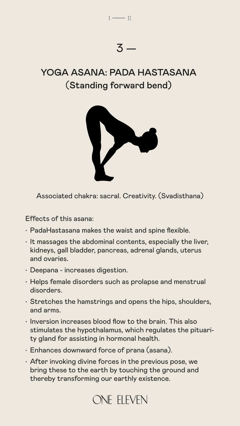

Associated chakra: sacral. Creativity. (Svadisthana)

Effects of this asana:

- PadaHastasana makes the waist and spine flexible.
- 
- It massages the abdominal contents, especially the liver, kidneys, gall bladder, pancreas, adrenal glands, uterus and ovaries.
- Deepana increases digestion.
- Helps female disorders such as prolapse and menstrual disorders.
- Stretches the hamstrings and opens the hips, shoulders, and arms.
- Inversion increases blood flow to the brain. This also stimulates the hypothalamus, which regulates the pituarity gland for assisting in hormonal health.
- Enhances downward force of prana (asana).
- After invoking divine forces in the previous pose, we bring these to the earth by touching the ground and thereby transforming our earthly existence.

### ONE ELEVEN

#### YOGA ASANA: PADA HASTASANA (Standing forward bend)

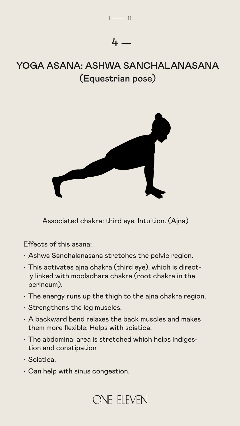Associated chakra: third eye. Intuition. (Ajna)

Effects of this asana:

- Ashwa Sanchalanasana stretches the pelvic region.
- This activates ajna chakra (third eye), which is directly linked with mooladhara chakra (root chakra in the perineum).
- The energy runs up the thigh to the ajna chakra region.
- Strengthens the leg muscles.
- A backward bend relaxes the back muscles and makes them more flexible. Helps with sciatica.
- The abdominal area is stretched which helps indigestion and constipation
- Sciatica.
- Can help with sinus congestion.

## ONE ELEVEN

#### YOGA ASANA: ASHWA SANCHALANASANA (Equestrian pose)





4 —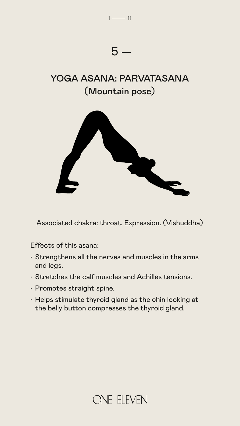

Associated chakra: throat. Expression. (Vishuddha)

Effects of this asana:

- Strengthens all the nerves and muscles in the arms and legs.
- Stretches the calf muscles and Achilles tensions.
- Promotes straight spine.
- Helps stimulate thyroid gland as the chin looking at the belly button compresses the thyroid gland.



#### YOGA ASANA: PARVATASANA (Mountain pose)

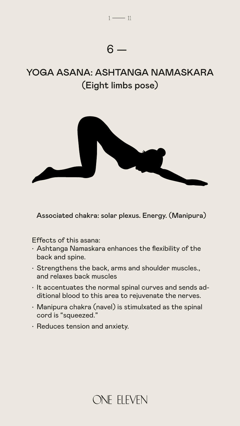

Associated chakra: solar plexus. Energy. (Manipura)

- Effects of this asana:
- Ashtanga Namaskara enhances the flexibility of the back and spine.
- Strengthens the back, arms and shoulder muscles., and relaxes back muscles
- It accentuates the normal spinal curves and sends additional blood to this area to rejuvenate the nerves.
- Manipura chakra (navel) is stimulxated as the spinal cord is "squeezed."
- Reduces tension and anxiety.



#### YOGA ASANA: ASHTANGA NAMASKARA (Eight limbs pose)

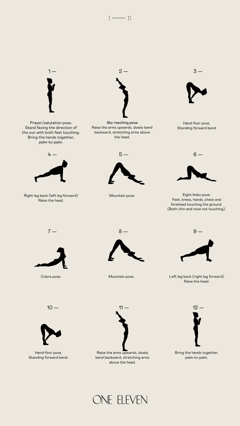



Raise the arms upwards, slowly bend backward, stretching arms above the head.



Hand-foor pose. Standing forward bend



Right leg back (left leg forward) Raise the head.

Prayer/salutation pose. Stand facing the direction of the sun with both feet touching. Bring the hands together, palm-to-palm.



Eight limbs pose. Feet, knees, hands, chest and forehead touching the ground. (Both chin and nose not touching).







Cobra pose.



Mountain pose.

Left leg back (right leg forward) Raise the head.



Mountain pose.



Bring the hands together, palm-to-palm.

### ONE ELEVEN

Raise the arms upwards, slowly bend backward, stretching arms above the head.



Hand-foor pose. Standing forward bend.